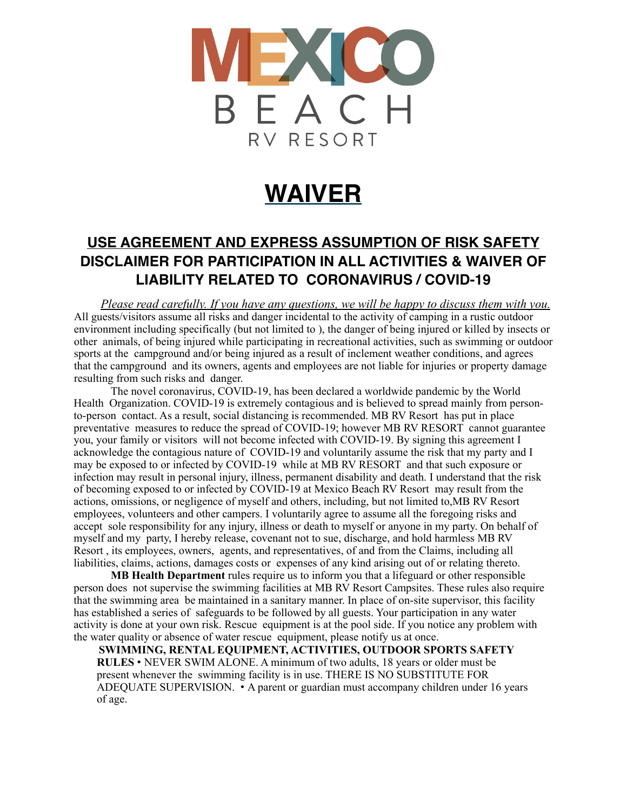

# **WAIVER**

## **USE AGREEMENT AND EXPRESS ASSUMPTION OF RISK SAFETY DISCLAIMER FOR PARTICIPATION IN ALL ACTIVITIES & WAIVER OF LIABILITY RELATED TO CORONAVIRUS / COVID-19**

*Please read carefully. If you have any questions, we will be happy to discuss them with you.* All guests/visitors assume all risks and danger incidental to the activity of camping in a rustic outdoor environment including specifically (but not limited to ), the danger of being injured or killed by insects or other animals, of being injured while participating in recreational activities, such as swimming or outdoor sports at the campground and/or being injured as a result of inclement weather conditions, and agrees that the campground and its owners, agents and employees are not liable for injuries or property damage resulting from such risks and danger.

The novel coronavirus, COVID-19, has been declared a worldwide pandemic by the World Health Organization. COVID-19 is extremely contagious and is believed to spread mainly from personto-person contact. As a result, social distancing is recommended. MB RV Resort has put in place preventative measures to reduce the spread of COVID-19; however MB RV RESORT cannot guarantee you, your family or visitors will not become infected with COVID-19. By signing this agreement I acknowledge the contagious nature of COVID-19 and voluntarily assume the risk that my party and I may be exposed to or infected by COVID-19 while at MB RV RESORT and that such exposure or infection may result in personal injury, illness, permanent disability and death. I understand that the risk of becoming exposed to or infected by COVID-19 at Mexico Beach RV Resort may result from the actions, omissions, or negligence of myself and others, including, but not limited to,MB RV Resort employees, volunteers and other campers. I voluntarily agree to assume all the foregoing risks and accept sole responsibility for any injury, illness or death to myself or anyone in my party. On behalf of myself and my party, I hereby release, covenant not to sue, discharge, and hold harmless MB RV Resort , its employees, owners, agents, and representatives, of and from the Claims, including all liabilities, claims, actions, damages costs or expenses of any kind arising out of or relating thereto.

**MB Health Department** rules require us to inform you that a lifeguard or other responsible person does not supervise the swimming facilities at MB RV Resort Campsites. These rules also require that the swimming area be maintained in a sanitary manner. In place of on-site supervisor, this facility has established a series of safeguards to be followed by all guests. Your participation in any water activity is done at your own risk. Rescue equipment is at the pool side. If you notice any problem with the water quality or absence of water rescue equipment, please notify us at once.

**SWIMMING, RENTAL EQUIPMENT, ACTIVITIES, OUTDOOR SPORTS SAFETY RULES** • NEVER SWIM ALONE. A minimum of two adults, 18 years or older must be present whenever the swimming facility is in use. THERE IS NO SUBSTITUTE FOR ADEQUATE SUPERVISION. • A parent or guardian must accompany children under 16 years of age.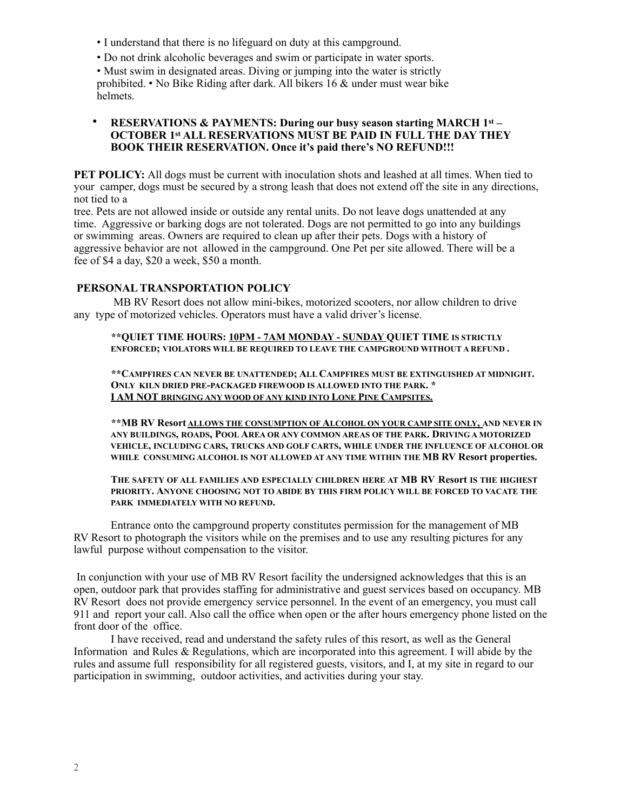- I understand that there is no lifeguard on duty at this campground.
- Do not drink alcoholic beverages and swim or participate in water sports.

• Must swim in designated areas. Diving or jumping into the water is strictly prohibited. • No Bike Riding after dark. All bikers 16 & under must wear bike helmets.

#### • **RESERVATIONS & PAYMENTS: During our busy season starting MARCH 1st – OCTOBER 1st ALL RESERVATIONS MUST BE PAID IN FULL THE DAY THEY BOOK THEIR RESERVATION. Once it's paid there's NO REFUND!!!**

**PET POLICY:** All dogs must be current with inoculation shots and leashed at all times. When tied to your camper, dogs must be secured by a strong leash that does not extend off the site in any directions, not tied to a

tree. Pets are not allowed inside or outside any rental units. Do not leave dogs unattended at any time. Aggressive or barking dogs are not tolerated. Dogs are not permitted to go into any buildings or swimming areas. Owners are required to clean up after their pets. Dogs with a history of aggressive behavior are not allowed in the campground. One Pet per site allowed. There will be a fee of \$4 a day, \$20 a week, \$50 a month.

### **PERSONAL TRANSPORTATION POLICY**

MB RV Resort does not allow mini-bikes, motorized scooters, nor allow children to drive any type of motorized vehicles. Operators must have a valid driver's license.

**\*\*QUIET TIME HOURS: 10PM - 7AM MONDAY - SUNDAY QUIET TIME IS STRICTLY ENFORCED; VIOLATORS WILL BE REQUIRED TO LEAVE THE CAMPGROUND WITHOUT A REFUND .** 

**\*\*CAMPFIRES CAN NEVER BE UNATTENDED; ALL CAMPFIRES MUST BE EXTINGUISHED AT MIDNIGHT. ONLY KILN DRIED PRE-PACKAGED FIREWOOD IS ALLOWED INTO THE PARK. \* I AM NOT BRINGING ANY WOOD OF ANY KIND INTO LONE PINE CAMPSITES.**

**\*\*MB RV Resort ALLOWS THE CONSUMPTION OF ALCOHOL ON YOUR CAMP SITE ONLY, AND NEVER IN ANY BUILDINGS, ROADS, POOL AREA OR ANY COMMON AREAS OF THE PARK. DRIVING A MOTORIZED VEHICLE, INCLUDING CARS, TRUCKS AND GOLF CARTS, WHILE UNDER THE INFLUENCE OF ALCOHOL OR WHILE CONSUMING ALCOHOL IS NOT ALLOWED AT ANY TIME WITHIN THE MB RV Resort properties.**

#### **THE SAFETY OF ALL FAMILIES AND ESPECIALLY CHILDREN HERE AT MB RV Resort IS THE HIGHEST PRIORITY. ANYONE CHOOSING NOT TO ABIDE BY THIS FIRM POLICY WILL BE FORCED TO VACATE THE PARK IMMEDIATELY WITH NO REFUND.**

Entrance onto the campground property constitutes permission for the management of MB RV Resort to photograph the visitors while on the premises and to use any resulting pictures for any lawful purpose without compensation to the visitor.

 In conjunction with your use of MB RV Resort facility the undersigned acknowledges that this is an open, outdoor park that provides staffing for administrative and guest services based on occupancy. MB RV Resort does not provide emergency service personnel. In the event of an emergency, you must call 911 and report your call. Also call the office when open or the after hours emergency phone listed on the front door of the office.

I have received, read and understand the safety rules of this resort, as well as the General Information and Rules & Regulations, which are incorporated into this agreement. I will abide by the rules and assume full responsibility for all registered guests, visitors, and I, at my site in regard to our participation in swimming, outdoor activities, and activities during your stay.